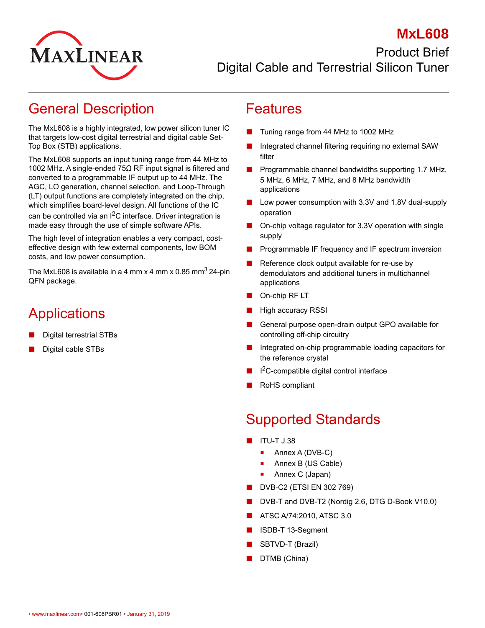

#### **MxL608** Product Brief Digital Cable and Terrestrial Silicon Tuner

### General Description

The MxL608 is a highly integrated, low power silicon tuner IC that targets low-cost digital terrestrial and digital cable Set-Top Box (STB) applications.

The MxL608 supports an input tuning range from 44 MHz to 1002 MHz. A single-ended 75Ω RF input signal is filtered and converted to a programmable IF output up to 44 MHz. The AGC, LO generation, channel selection, and Loop-Through (LT) output functions are completely integrated on the chip, which simplifies board-level design. All functions of the IC can be controlled via an  $I^2C$  interface. Driver integration is made easy through the use of simple software APIs.

The high level of integration enables a very compact, costeffective design with few external components, low BOM costs, and low power consumption.

The MxL608 is available in a 4 mm x 4 mm x 0.85 mm<sup>3</sup> 24-pin QFN package.

# **Applications**

- Digital terrestrial STBs
- Digital cable STBs

#### Features

- Tuning range from 44 MHz to 1002 MHz
- Integrated channel filtering requiring no external SAW filter
- Programmable channel bandwidths supporting 1.7 MHz, 5 MHz, 6 MHz, 7 MHz, and 8 MHz bandwidth applications
- Low power consumption with 3.3V and 1.8V dual-supply operation
- On-chip voltage regulator for 3.3V operation with single supply
- Programmable IF frequency and IF spectrum inversion
- Reference clock output available for re-use by demodulators and additional tuners in multichannel applications
- On-chip RF LT
- **High accuracy RSSI**
- General purpose open-drain output GPO available for controlling off-chip circuitry
- Integrated on-chip programmable loading capacitors for the reference crystal
- I<sup>2</sup>C-compatible digital control interface
- RoHS compliant

## Supported Standards

- ITU-T J.38
	- Annex A (DVB-C)
	- **Annex B (US Cable)**
	- Annex C (Japan)
- DVB-C2 (ETSI EN 302 769)
- DVB-T and DVB-T2 (Nordig 2.6, DTG D-Book V10.0)
- ATSC A/74:2010, ATSC 3.0
- ISDB-T 13-Segment
- SBTVD-T (Brazil)
- DTMB (China)